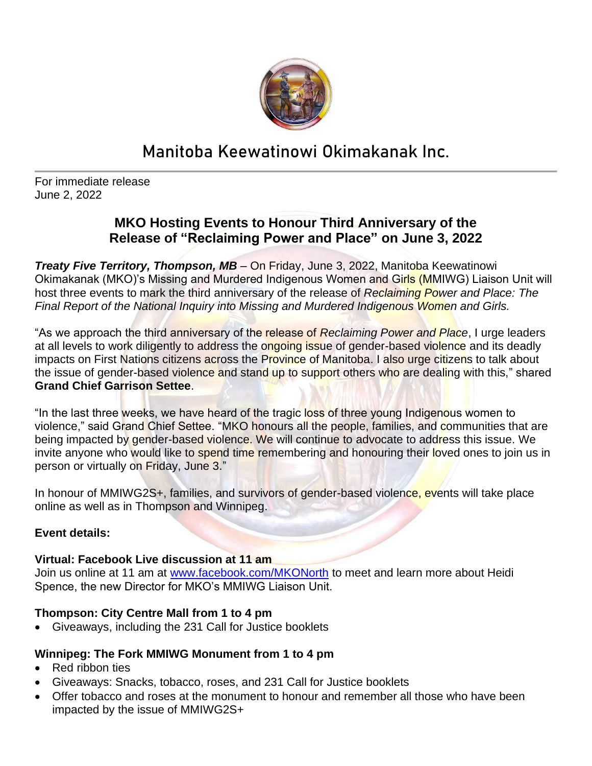

# **Manitoba Keewatinowi Okimakanak Inc.**

For immediate release June 2, 2022

## **MKO Hosting Events to Honour Third Anniversary of the Release of "Reclaiming Power and Place" on June 3, 2022**

*Treaty Five Territory, Thompson, MB –* On Friday, June 3, 2022, Manitoba Keewatinowi Okimakanak (MKO)'s Missing and Murdered Indigenous Women and Girls (MMIWG) Liaison Unit will host three events to mark the third anniversary of the release of *Reclaiming Power and Place: The Final Report of the National Inquiry into Missing and Murdered Indigenous Women and Girls.*

"As we approach the third anniversary of the release of *Reclaiming Power and Place*, I urge leaders at all levels to work diligently to address the ongoing issue of gender-based violence and its deadly impacts on First Nations citizens across the Province of Manitoba. I also urge citizens to talk about the issue of gender-based violence and stand up to support others who are dealing with this," shared **Grand Chief Garrison Settee**.

"In the last three weeks, we have heard of the tragic loss of three young Indigenous women to violence," said Grand Chief Settee. "MKO honours all the people, families, and communities that are being impacted by gender-based violence. We will continue to advocate to address this issue. We invite anyone who would like to spend time remembering and honouring their loved ones to join us in person or virtually on Friday, June 3."

In honour of MMIWG2S+, families, and survivors of gender-based violence, events will take place online as well as in Thompson and Winnipeg.

### **Event details:**

### **Virtual: Facebook Live discussion at 11 am**

Join us online at 11 am at [www.facebook.com/MKONorth](http://www.facebook.com/MKONorth) to meet and learn more about Heidi Spence, the new Director for MKO's MMIWG Liaison Unit.

### **Thompson: City Centre Mall from 1 to 4 pm**

• Giveaways, including the 231 Call for Justice booklets

### **Winnipeg: The Fork MMIWG Monument from 1 to 4 pm**

- Red ribbon ties
- Giveaways: Snacks, tobacco, roses, and 231 Call for Justice booklets
- Offer tobacco and roses at the monument to honour and remember all those who have been impacted by the issue of MMIWG2S+